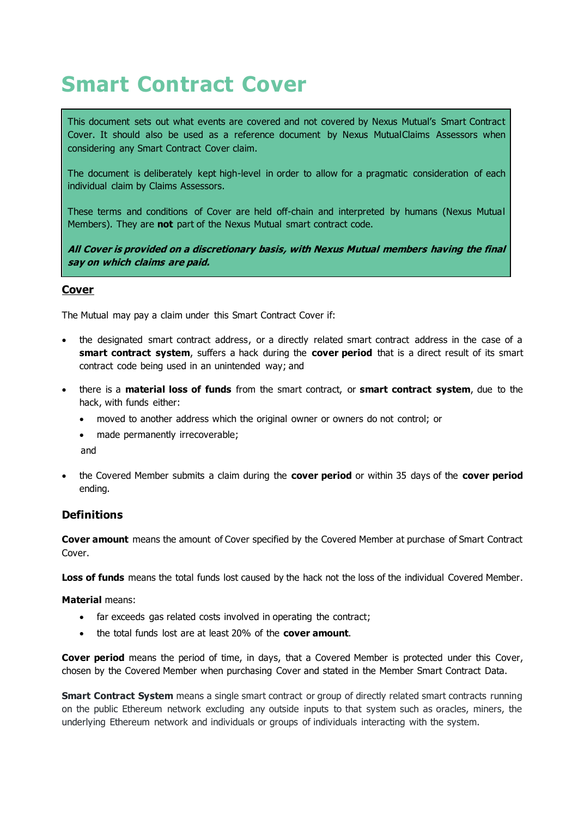# **Smart Contract Cover**

This document sets out what events are covered and not covered by Nexus Mutual's Smart Contract Cover. It should also be used as a reference document by Nexus Mutua[lClaims Assessors](https://nexusmutual.gitbook.io/docs/docs#claims-assessment) when considering any Smart Contract Cover claim.

The document is deliberately kept high-level in order to allow for a pragmatic consideration of each individual claim by Claims Assessors.

These terms and conditions of Cover are held off-chain and interpreted by humans (Nexus Mutual Members). They are **not** part of the Nexus Mutual smart contract code.

**All Cover is provided on a discretionary basis, with Nexus Mutual members having the final say on which claims are paid.**

#### **Cover**

The Mutual may pay a claim under this Smart Contract Cover if:

- the designated smart contract address, or a directly related smart contract address in the case of a **smart contract system**, suffers a hack during the **cover period** that is a direct result of its smart contract code being used in an unintended way; and
- there is a **material loss of funds** from the smart contract, or **smart contract system**, due to the hack, with funds either:
	- moved to another address which the original owner or owners do not control; or
	- made permanently irrecoverable;

and

• the Covered Member submits a claim during the **cover period** or within 35 days of the **cover period**  ending.

### **Definitions**

**Cover amount** means the amount of Cover specified by the Covered Member at purchase of Smart Contract Cover.

**Loss of funds** means the total funds lost caused by the hack not the loss of the individual Covered Member.

**Material** means:

- far exceeds gas related costs involved in operating the contract;
- the total funds lost are at least 20% of the **cover amount**.

**Cover period** means the period of time, in days, that a Covered Member is protected under this Cover, chosen by the Covered Member when purchasing Cover and stated in the Member Smart Contract Data.

**Smart Contract System** means a single smart contract or group of directly related smart contracts running on the public Ethereum network excluding any outside inputs to that system such as oracles, miners, the underlying Ethereum network and individuals or groups of individuals interacting with the system.